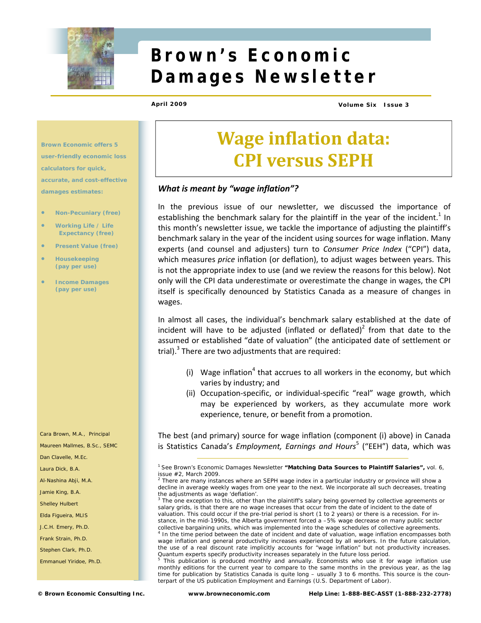

# **Brown's Economic Damages Newsletter**

**April 2009 Volume Six Issue 3** 

**Brown Economic offers 5 user-friendly economic loss calculators for quick, accurate, and cost-effective damages estimates:** 

- **Non-Pecuniary (free)**
- **Working Life / Life Expectancy (free)**
- **Present Value (free)**
- **Housekeeping (pay per use)**
- **Income Damages (pay per use)**

Cara Brown, M.A., Principal

Maureen Mallmes, B.Sc., SEMC

Dan Clavelle, M.Ec.

Laura Dick, B.A.

Al-Nashina Abji, M.A.

Jamie King, B.A.

Shelley Hulbert

Elda Figueira, MLIS

J.C.H. Emery, Ph.D.

Frank Strain, Ph.D.

Stephen Clark, Ph.D.

Emmanuel Yiridoe, Ph.D.

**Wage inflation data: CPI versus SEPH**

## *What is meant by "wage inflation"?*

In the previous issue of our newsletter, we discussed the importance of establishing the benchmark salary for the plaintiff in the year of the incident.<sup>1</sup> In this month's newsletter issue, we tackle the importance of adjusting the plaintiff's benchmark salary in the year of the incident using sources for wage inflation. Many experts (and counsel and adjusters) turn to *Consumer Price Index* ("CPI") data, which measures *price* inflation (or deflation), to adjust wages between years. This is not the appropriate index to use (and we review the reasons for this below). Not only will the CPI data underestimate or overestimate the change in wages, the CPI itself is specifically denounced by Statistics Canada as a measure of changes in wages.

In almost all cases, the individual's benchmark salary established at the date of incident will have to be adjusted (inflated or deflated)<sup>2</sup> from that date to the assumed or established "date of valuation" (the anticipated date of settlement or trial).<sup>3</sup> There are two adjustments that are required:

- (i) Wage inflation<sup>4</sup> that accrues to all workers in the economy, but which varies by industry; and
- (ii) Occupation‐specific, or individual‐specific "real" wage growth, which may be experienced by workers, as they accumulate more work experience, tenure, or benefit from a promotion.

The best (and primary) source for wage inflation (component (i) above) in Canada is Statistics Canada's *Employment, Earnings and Hours*<sup>5</sup> ("EEH") data, which was

 $2$  There are many instances where an SEPH wage index in a particular industry or province will show a *decline* in average weekly wages from one year to the next. We incorporate all such decreases, treating the adjustments as wage 'deflation'.

<sup>3</sup> The one exception to this, other than the plaintiff's salary being governed by collective agreements or salary grids, is that there are no wage increases that occur from the date of incident to the date of valuation. This could occur if the pre-trial period is short (1 to 2 years) or there is a recession. For instance, in the mid-1990s, the Alberta government forced a –5% wage *decrease* on many public sector collective bargaining units, which was implemented into the wage schedules of collective agreements. 4 In the time period between the date of incident and date of valuation, wage inflation encompasses *both* wage inflation and general productivity increases experienced by all workers. In the future calculation, the use of a real discount rate implicitly accounts for "wage inflation" but not productivity increases. Quantum experts specify productivity increases separately in the future loss period.

5 This publication is produced monthly and annually. Economists who use it for wage inflation use monthly editions for the current year to compare to the same months in the previous year, as the lag time for publication by Statistics Canada is quite long – usually 3 to 6 months. This source is the counterpart of the US publication *Employment and Earnings* (U.S. Department of Labor).

<sup>1</sup> See *Brown's Economic Damages Newsletter* **"Matching Data Sources to Plaintiff Salaries",** vol. 6, issue #2, March 2009.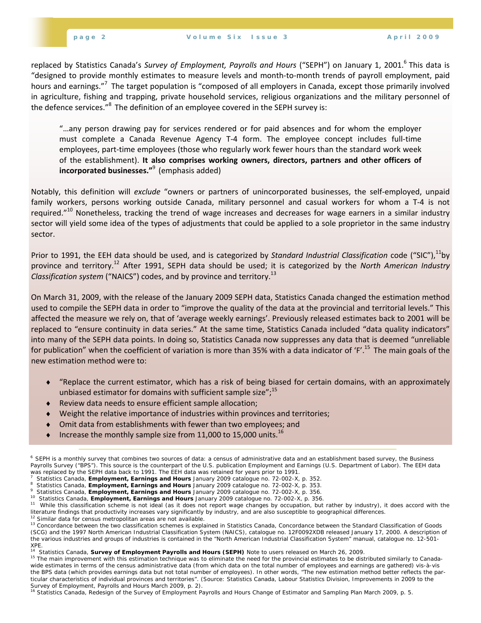replaced by Statistics Canada's *Survey of Employment, Payrolls and Hours* ("SEPH") on January 1, 2001.<sup>6</sup> This data is "designed to provide monthly estimates to measure levels and month‐to‐month trends of payroll employment, paid hours and earnings."<sup>7</sup> The target population is "composed of all employers in Canada, except those primarily involved in agriculture, fishing and trapping, private household services, religious organizations and the military personnel of the defence services."<sup>8</sup> The definition of an employee covered in the SEPH survey is:

"…any person drawing pay for services rendered or for paid absences and for whom the employer must complete a Canada Revenue Agency T‐4 form. The employee concept includes full‐time employees, part-time employees (those who regularly work fewer hours than the standard work week of the establishment). **It also comprises working owners, directors, partners and other officers of incorporated businesses."**<sup>9</sup> (emphasis added)

Notably, this definition will *exclude* "owners or partners of unincorporated businesses, the self‐employed, unpaid family workers, persons working outside Canada, military personnel and casual workers for whom a T-4 is not required."<sup>10</sup> Nonetheless, tracking the trend of wage increases and decreases for wage earners in a similar industry sector will yield some idea of the types of adjustments that could be applied to a sole proprietor in the same industry sector.

Prior to 1991, the EEH data should be used, and is categorized by *Standard Industrial Classification* code ("SIC"),<sup>11</sup>by province and territory.12 After 1991, SEPH data should be used; it is categorized by the *North American Industry Classification system* ("NAICS") codes, and by province and territory.13

On March 31, 2009, with the release of the January 2009 SEPH data, Statistics Canada changed the estimation method used to compile the SEPH data in order to "improve the quality of the data at the provincial and territorial levels." This affected the measure we rely on, that of 'average weekly earnings'. Previously released estimates back to 2001 will be replaced to "ensure continuity in data series." At the same time, Statistics Canada included "data quality indicators" into many of the SEPH data points. In doing so, Statistics Canada now suppresses any data that is deemed "unreliable for publication" when the coefficient of variation is more than 35% with a data indicator of 'F'.<sup>15</sup> The main goals of the new estimation method were to:

- ♦ "Replace the current estimator, which has a risk of being biased for certain domains, with an approximately unbiased estimator for domains with sufficient sample size"; $^{15}$
- ♦ Review data needs to ensure efficient sample allocation;
- Weight the relative importance of industries within provinces and territories;
- ♦ Omit data from establishments with fewer than two employees; and
- $\bullet$  Increase the monthly sample size from 11,000 to 15,000 units.<sup>16</sup>

<sup>6</sup> SEPH is a monthly survey that combines two sources of data: a census of administrative data and an establishment based survey, the *Business Payrolls Survey* ("BPS"). This source is the counterpart of the U.S. publication *Employment and Earnings* (U.S. Department of Labor). The EEH data was replaced by the SEPH data back to 1991. The EEH data was retained for years prior to 1991.

Statistics Canada, *Employment, Earnings and Hours January 2009* catalogue no. 72-002-X, p. 352. 8

Statistics Canada, *Employment, Earnings and Hours January 2009* catalogue no. 72-002-X, p. 353. 9

<sup>&</sup>lt;sup>10</sup> Statistics Canada, Employment, Earnings and Hours January 2009 catalogue no. 72-002-X, p. 356.<br><sup>11</sup> While this classification scheme is not ideal (as it does not report wage changes by occupation, but rather by indust literature findings that productivity increases vary significantly by industry, and are also susceptible to geographical differences.<br><sup>12</sup> Similar data for census metropolitan areas are not available.<br><sup>13</sup> Concordance bet

*<sup>(</sup>SCG) and the 1997 North American Industrial Classification System (NAICS),* catalogue no. 12F0092XDB released January 17, 2000. A description of the various industries and groups of industries is contained in the "North American Industrial Classification System" manual, catalogue no. 12-501-

XPE.<br><sup>14</sup> Statistics Canada, **Survey of Employment Payrolls and Hours (SEPH)** *Note to users* released on March 26, 2009.<br><sup>15</sup> The main improvement with this estimation technique was to eliminate the need for the provincia wide estimates in terms of the census administrative data (from which data on the total number of employees and earnings are gathered) vis-à-vis the BPS data (which provides earnings data but not total number of employees). In other words, "The new estimation method better reflects the particular characteristics of individual provinces and territories". (Source: Statistics Canada, Labour Statistics Division, *Improvements in 2009 to the Survey of Employment, Payrolls and Hours* March 2009, p. 2).<br><sup>16</sup> Statistics Canada, *Redesign of the Survey of Employment Payrolls and Hours Change of Estimator and Sampling Plan March 2009, p. 5.*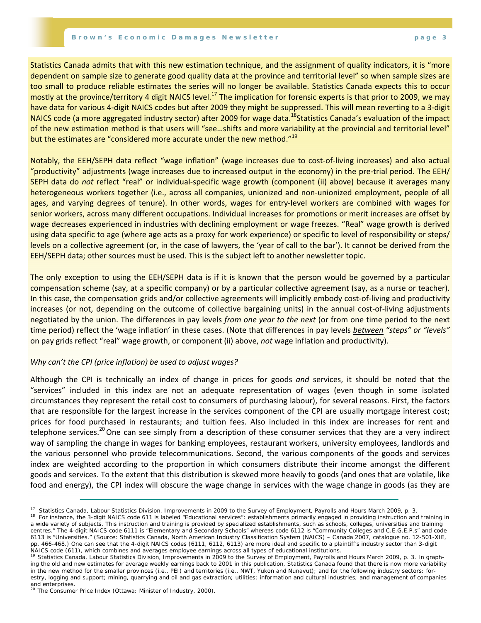#### **Brown's Economic Damages Newsletter page 3**

Statistics Canada admits that with this new estimation technique, and the assignment of quality indicators, it is "more dependent on sample size to generate good quality data at the province and territorial level" so when sample sizes are too small to produce reliable estimates the series will no longer be available. Statistics Canada expects this to occur mostly at the province/territory 4 digit NAICS level.<sup>17</sup> The implication for forensic experts is that prior to 2009, we may have data for various 4‐digit NAICS codes but after 2009 they might be suppressed. This will mean reverting to a 3‐digit NAICS code (a more aggregated industry sector) after 2009 for wage data.<sup>18</sup>Statistics Canada's evaluation of the impact of the new estimation method is that users will "see...shifts and more variability at the provincial and territorial level" but the estimates are "considered more accurate under the new method."<sup>19</sup>

Notably, the EEH/SEPH data reflect "wage inflation" (wage increases due to cost‐of‐living increases) and also actual "productivity" adjustments (wage increases due to increased output in the economy) in the pre‐trial period. The EEH/ SEPH data do *not* reflect "real" or individual‐specific wage growth (component (ii) above) because it averages many heterogeneous workers together (i.e., across all companies, unionized and non-unionized employment, people of all ages, and varying degrees of tenure). In other words, wages for entry-level workers are combined with wages for senior workers, across many different occupations. Individual increases for promotions or merit increases are offset by wage decreases experienced in industries with declining employment or wage freezes. "Real" wage growth is derived using data specific to age (where age acts as a proxy for work experience) or specific to level of responsibility or steps/ levels on a collective agreement (or, in the case of lawyers, the 'year of call to the bar'). It cannot be derived from the EEH/SEPH data; other sources must be used. This is the subject left to another newsletter topic.

The only exception to using the EEH/SEPH data is if it is known that the person would be governed by a particular compensation scheme (say, at a specific company) or by a particular collective agreement (say, as a nurse or teacher). In this case, the compensation grids and/or collective agreements will implicitly embody cost‐of‐living and productivity increases (or not, depending on the outcome of collective bargaining units) in the annual cost‐of‐living adjustments negotiated by the union. The differences in pay levels *from one year to the next* (or from one time period to the next time period) reflect the 'wage inflation' in these cases. (Note that differences in pay levels *between "steps" or "levels"* on pay grids reflect "real" wage growth, or component (ii) above, *not* wage inflation and productivity).

# *Why can't the CPI (price inflation) be used to adjust wages?*

Although the CPI is technically an index of change in prices for goods *and* services, it should be noted that the "services" included in this index are not an adequate representation of wages (even though in some isolated circumstances they represent the retail cost to consumers of purchasing labour), for several reasons. First, the factors that are responsible for the largest increase in the services component of the CPI are usually mortgage interest cost; prices for food purchased in restaurants; and tuition fees. Also included in this index are increases for rent and telephone services.<sup>20</sup> One can see simply from a description of these consumer services that they are a very indirect way of sampling the change in wages for banking employees, restaurant workers, university employees, landlords and the various personnel who provide telecommunications. Second, the various components of the goods and services index are weighted according to the proportion in which consumers distribute their income amongst the different goods and services. To the extent that this distribution is skewed more heavily to goods (and ones that are volatile, like food and energy), the CPI index will obscure the wage change in services with the wage change in goods (as they are

<sup>&</sup>lt;sup>17</sup> Statistics Canada, Labour Statistics Division, *Improvements in 2009 to the Survey of Employment, Payrolls and Hours* March 2009, p. 3.<br><sup>18</sup> For instance, the 3-digit NAICS code 611 is labeled "Educational services":

a wide variety of subjects. This instruction and training is provided by specialized establishments, such as schools, colleges, universities and training centres." The 4-digit NAICS code 6111 is "Elementary and Secondary Schools" whereas code 6112 is "Community Colleges and C.E.G.E.P.s" and code 6113 is "Universities." (Source: Statistics Canada, Nor*th American Industry Classification System (NAICS) – Canada 2007,* catalogue no. 12-501-XIE, pp. 466-468.) One can see that the 4-digit NAICS codes (6111, 6112, 6113) are more ideal and specific to a plaintiff's industry sector than 3-digit NAICS code (611), which combines and averages employee earnings across all

<sup>&</sup>lt;sup>19</sup> Statistics Canada, Labour Statistics Division, Improvements in 2009 to the Survey of Employment, Payrolls and Hours March 2009, p. 3. In graphing the old and new estimates for average weekly earnings back to 2001 in this publication, Statistics Canada found that there is now more variability in the new method for the smaller provinces (i.e., PEI) and territories (i.e., NWT, Yukon and Nunavut); and for the following industry sectors: forestry, logging and support; mining, quarrying and oil and gas extraction; utilities; information and cultural industries; and management of companies

and enterprises. <sup>20</sup>*The Consumer Price Index* (Ottawa: Minister of Industry, 2000).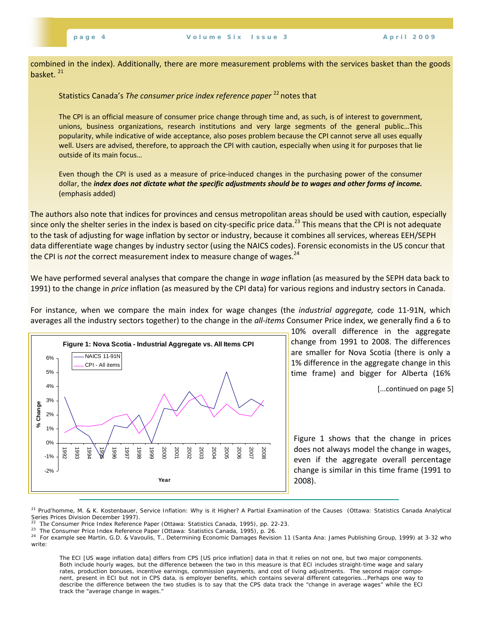combined in the index). Additionally, there are more measurement problems with the services basket than the goods basket.<sup>21</sup>

# Statistics Canada's *The consumer price index reference paper* <sup>22</sup> notes that

The CPI is an official measure of consumer price change through time and, as such, is of interest to government, unions, business organizations, research institutions and very large segments of the general public…This popularity, while indicative of wide acceptance, also poses problem because the CPI cannot serve all uses equally well. Users are advised, therefore, to approach the CPI with caution, especially when using it for purposes that lie outside of its main focus…

Even though the CPI is used as a measure of price‐induced changes in the purchasing power of the consumer dollar, the index does not dictate what the specific adjustments should be to wages and other forms of income. (emphasis added)

The authors also note that indices for provinces and census metropolitan areas should be used with caution, especially since only the shelter series in the index is based on city-specific price data.<sup>23</sup> This means that the CPI is not adequate to the task of adjusting for wage inflation by sector or industry, because it combines all services, whereas EEH/SEPH data differentiate wage changes by industry sector (using the NAICS codes). Forensic economists in the US concur that the CPI is *not* the correct measurement index to measure change of wages.<sup>24</sup>

We have performed several analyses that compare the change in *wage* inflation (as measured by the SEPH data back to 1991) to the change in *price* inflation (as measured by the CPI data) for various regions and industry sectors in Canada.

For instance, when we compare the main index for wage changes (the *industrial aggregate,* code 11‐91N, which averages all the industry sectors together) to the change in the *all‐items* Consumer Price index, we generally find a 6 to



10% overall difference in the aggregate change from 1991 to 2008. The differences are smaller for Nova Scotia (there is only a 1% difference in the aggregate change in this time frame) and bigger for Alberta (16%

[...continued on page 5]

Figure 1 shows that the change in prices does not always model the change in wages, even if the aggregate overall percentage change is similar in this time frame (1991 to 2008).

21 Prud'homme, M. & K. Kostenbauer, *Service Inflation: Why is it Higher? A Partial Examination of the Causes* (Ottawa: Statistics Canada Analytical Series Prices Division December 1997).

The ECI [US wage inflation data] differs from CPS [US price inflation] data in that it relies on not one, but two major components. Both include hourly wages, but the difference between the two in this measure is that ECI includes straight-time wage and salary rates, production bonuses, incentive earnings, commission payments, and cost of living adjustments. The second major component, present in ECI but not in CPS data, is employer benefits, which contains several different categories….Perhaps one way to describe the difference between the two studies is to say that the CPS data track the "change in average wages" while the ECI track the "average change in wages."

<sup>&</sup>lt;sup>22</sup> The *Consumer Price Index Reference Paper* (Ottawa: Statistics Canada, 1995), pp. 22-23.<br><sup>23</sup> *The Consumer Price Index Reference Paper* (Ottawa: Statistics Canada, 1995), p. 26.<br><sup>24</sup> For example see Martin, G.D. & Va write: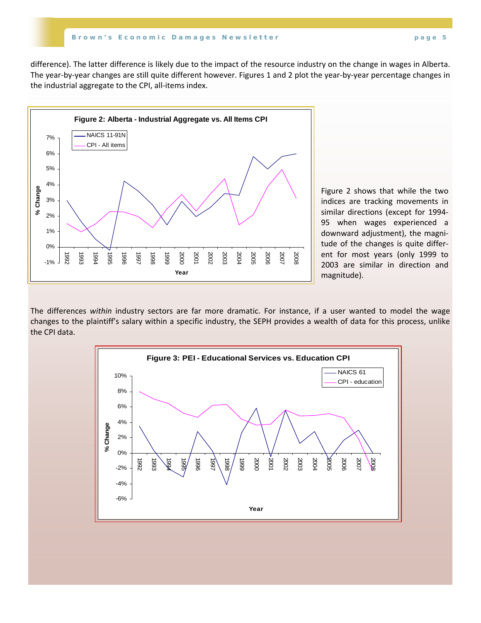difference). The latter difference is likely due to the impact of the resource industry on the change in wages in Alberta. The year‐by‐year changes are still quite different however. Figures 1 and 2 plot the year‐by‐year percentage changes in the industrial aggregate to the CPI, all‐items index.



Figure 2 shows that while the two indices are tracking movements in similar directions (except for 1994‐ 95 when wages experienced a downward adjustment), the magni‐ tude of the changes is quite differ‐ ent for most years (only 1999 to 2003 are similar in direction and magnitude).

The differences *within* industry sectors are far more dramatic. For instance, if a user wanted to model the wage changes to the plaintiff's salary within a specific industry, the SEPH provides a wealth of data for this process, unlike the CPI data.

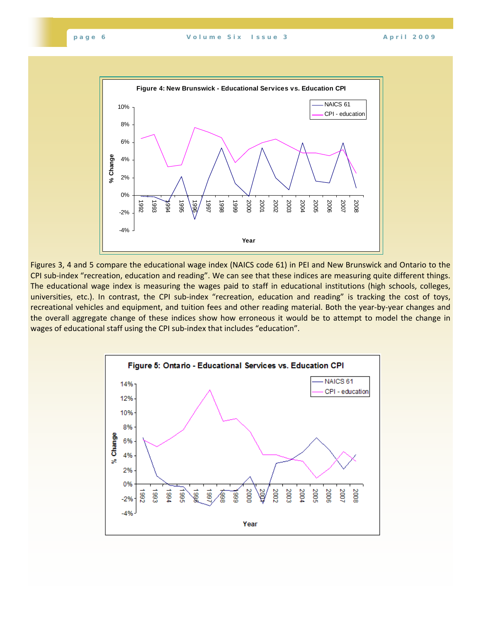

Figures 3, 4 and 5 compare the educational wage index (NAICS code 61) in PEI and New Brunswick and Ontario to the CPI sub‐index "recreation, education and reading". We can see that these indices are measuring quite different things. The educational wage index is measuring the wages paid to staff in educational institutions (high schools, colleges, universities, etc.). In contrast, the CPI sub-index "recreation, education and reading" is tracking the cost of toys, recreational vehicles and equipment, and tuition fees and other reading material. Both the year‐by‐year changes and the overall aggregate change of these indices show how erroneous it would be to attempt to model the change in wages of educational staff using the CPI sub-index that includes "education".

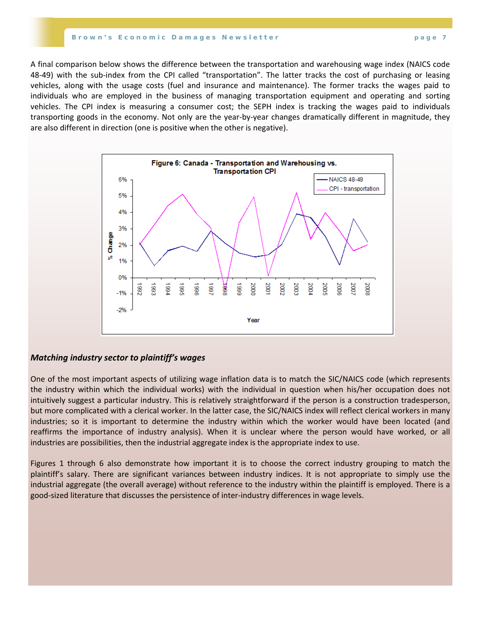#### **Brown's Economic Damages Newsletter page 7**

A final comparison below shows the difference between the transportation and warehousing wage index (NAICS code 48-49) with the sub-index from the CPI called "transportation". The latter tracks the cost of purchasing or leasing vehicles, along with the usage costs (fuel and insurance and maintenance). The former tracks the wages paid to individuals who are employed in the business of managing transportation equipment and operating and sorting vehicles. The CPI index is measuring a consumer cost; the SEPH index is tracking the wages paid to individuals transporting goods in the economy. Not only are the year‐by‐year changes dramatically different in magnitude, they are also different in direction (one is positive when the other is negative).



## *Matching industry sector to plaintiff's wages*

One of the most important aspects of utilizing wage inflation data is to match the SIC/NAICS code (which represents the industry within which the individual works) with the individual in question when his/her occupation does not intuitively suggest a particular industry. This is relatively straightforward if the person is a construction tradesperson, but more complicated with a clerical worker. In the latter case, the SIC/NAICS index will reflect clerical workers in many industries; so it is important to determine the industry within which the worker would have been located (and reaffirms the importance of industry analysis). When it is unclear where the person would have worked, or all industries are possibilities, then the industrial aggregate index is the appropriate index to use.

Figures 1 through 6 also demonstrate how important it is to choose the correct industry grouping to match the plaintiff's salary. There are significant variances between industry indices. It is not appropriate to simply use the industrial aggregate (the overall average) without reference to the industry within the plaintiff is employed. There is a good‐sized literature that discusses the persistence of inter‐industry differences in wage levels.